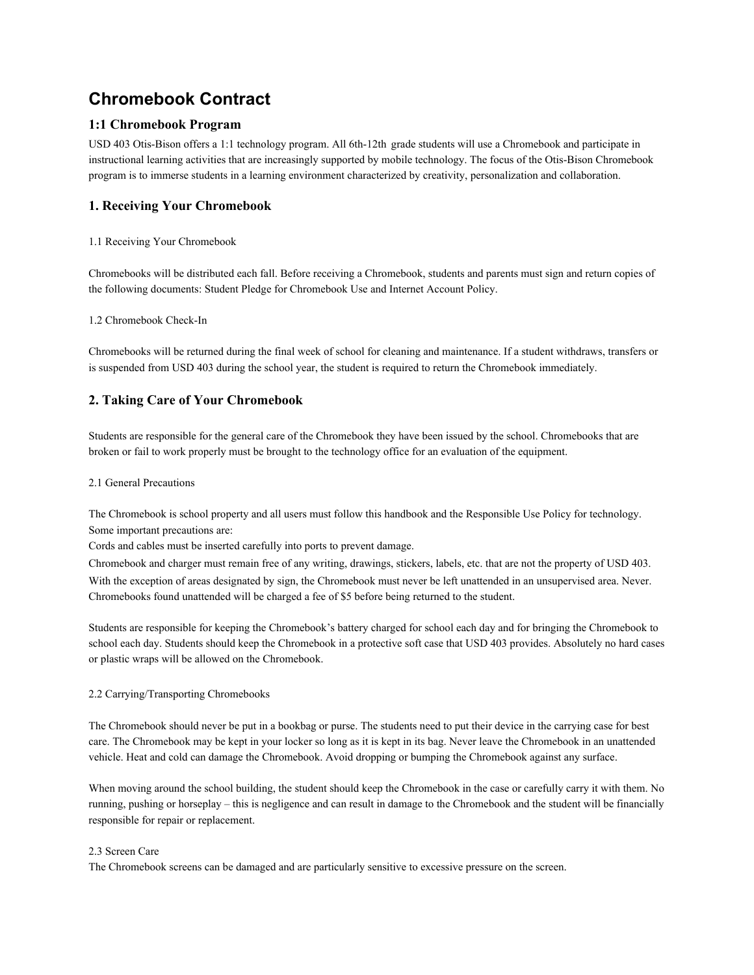# **Chromebook Contract**

# **1:1 Chromebook Program**

USD 403 Otis-Bison offers a 1:1 technology program. All 6th-12th grade students will use a Chromebook and participate in instructional learning activities that are increasingly supported by mobile technology. The focus of the Otis-Bison Chromebook program is to immerse students in a learning environment characterized by creativity, personalization and collaboration.

# **1. Receiving Your Chromebook**

# 1.1 Receiving Your Chromebook

Chromebooks will be distributed each fall. Before receiving a Chromebook, students and parents must sign and return copies of the following documents: Student Pledge for Chromebook Use and Internet Account Policy.

### 1.2 Chromebook Check-In

Chromebooks will be returned during the final week of school for cleaning and maintenance. If a student withdraws, transfers or is suspended from USD 403 during the school year, the student is required to return the Chromebook immediately.

# **2. Taking Care of Your Chromebook**

Students are responsible for the general care of the Chromebook they have been issued by the school. Chromebooks that are broken or fail to work properly must be brought to the technology office for an evaluation of the equipment.

### 2.1 General Precautions

The Chromebook is school property and all users must follow this handbook and the Responsible Use Policy for technology. Some important precautions are:

Cords and cables must be inserted carefully into ports to prevent damage.

Chromebook and charger must remain free of any writing, drawings, stickers, labels, etc. that are not the property of USD 403. With the exception of areas designated by sign, the Chromebook must never be left unattended in an unsupervised area. Never. Chromebooks found unattended will be charged a fee of \$5 before being returned to the student.

Students are responsible for keeping the Chromebook's battery charged for school each day and for bringing the Chromebook to school each day. Students should keep the Chromebook in a protective soft case that USD 403 provides. Absolutely no hard cases or plastic wraps will be allowed on the Chromebook.

### 2.2 Carrying/Transporting Chromebooks

The Chromebook should never be put in a bookbag or purse. The students need to put their device in the carrying case for best care. The Chromebook may be kept in your locker so long as it is kept in its bag. Never leave the Chromebook in an unattended vehicle. Heat and cold can damage the Chromebook. Avoid dropping or bumping the Chromebook against any surface.

When moving around the school building, the student should keep the Chromebook in the case or carefully carry it with them. No running, pushing or horseplay – this is negligence and can result in damage to the Chromebook and the student will be financially responsible for repair or replacement.

### 2.3 Screen Care

The Chromebook screens can be damaged and are particularly sensitive to excessive pressure on the screen.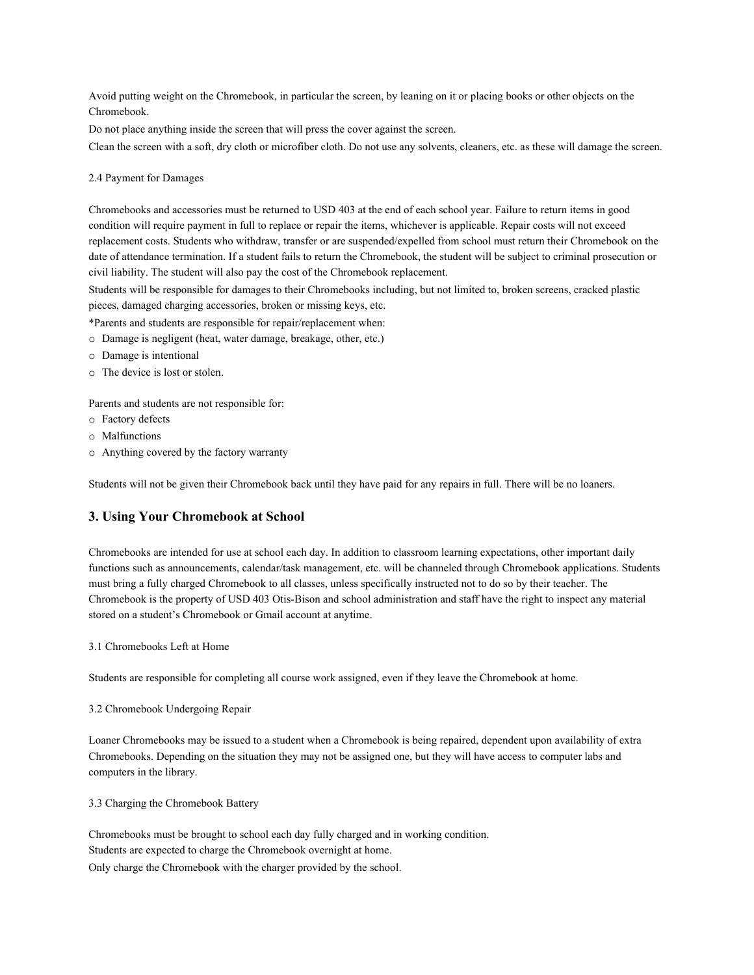Avoid putting weight on the Chromebook, in particular the screen, by leaning on it or placing books or other objects on the Chromebook.

Do not place anything inside the screen that will press the cover against the screen.

Clean the screen with a soft, dry cloth or microfiber cloth. Do not use any solvents, cleaners, etc. as these will damage the screen.

#### 2.4 Payment for Damages

Chromebooks and accessories must be returned to USD 403 at the end of each school year. Failure to return items in good condition will require payment in full to replace or repair the items, whichever is applicable. Repair costs will not exceed replacement costs. Students who withdraw, transfer or are suspended/expelled from school must return their Chromebook on the date of attendance termination. If a student fails to return the Chromebook, the student will be subject to criminal prosecution or civil liability. The student will also pay the cost of the Chromebook replacement.

Students will be responsible for damages to their Chromebooks including, but not limited to, broken screens, cracked plastic pieces, damaged charging accessories, broken or missing keys, etc.

- \*Parents and students are responsible for repair/replacement when:
- o Damage is negligent (heat, water damage, breakage, other, etc.)
- o Damage is intentional
- o The device is lost or stolen.

Parents and students are not responsible for:

- o Factory defects
- o Malfunctions
- o Anything covered by the factory warranty

Students will not be given their Chromebook back until they have paid for any repairs in full. There will be no loaners.

### **3. Using Your Chromebook at School**

Chromebooks are intended for use at school each day. In addition to classroom learning expectations, other important daily functions such as announcements, calendar/task management, etc. will be channeled through Chromebook applications. Students must bring a fully charged Chromebook to all classes, unless specifically instructed not to do so by their teacher. The Chromebook is the property of USD 403 Otis-Bison and school administration and staff have the right to inspect any material stored on a student's Chromebook or Gmail account at anytime.

3.1 Chromebooks Left at Home

Students are responsible for completing all course work assigned, even if they leave the Chromebook at home.

3.2 Chromebook Undergoing Repair

Loaner Chromebooks may be issued to a student when a Chromebook is being repaired, dependent upon availability of extra Chromebooks. Depending on the situation they may not be assigned one, but they will have access to computer labs and computers in the library.

3.3 Charging the Chromebook Battery

Chromebooks must be brought to school each day fully charged and in working condition. Students are expected to charge the Chromebook overnight at home. Only charge the Chromebook with the charger provided by the school.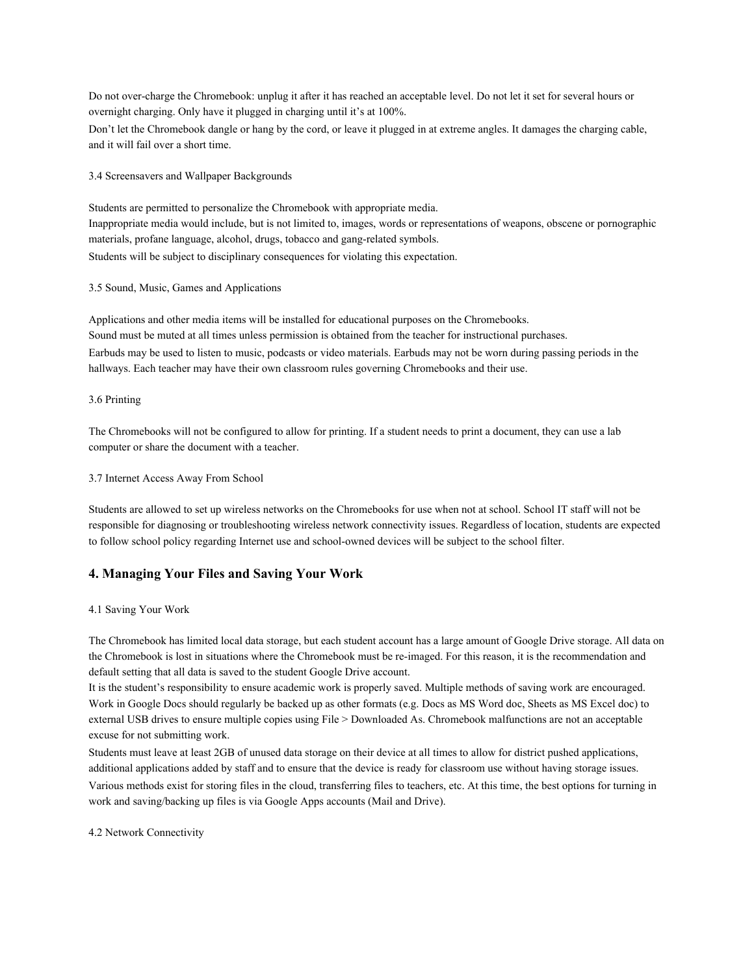Do not over-charge the Chromebook: unplug it after it has reached an acceptable level. Do not let it set for several hours or overnight charging. Only have it plugged in charging until it's at 100%.

Don't let the Chromebook dangle or hang by the cord, or leave it plugged in at extreme angles. It damages the charging cable, and it will fail over a short time.

3.4 Screensavers and Wallpaper Backgrounds

Students are permitted to personalize the Chromebook with appropriate media. Inappropriate media would include, but is not limited to, images, words or representations of weapons, obscene or pornographic materials, profane language, alcohol, drugs, tobacco and gang-related symbols. Students will be subject to disciplinary consequences for violating this expectation.

#### 3.5 Sound, Music, Games and Applications

Applications and other media items will be installed for educational purposes on the Chromebooks. Sound must be muted at all times unless permission is obtained from the teacher for instructional purchases. Earbuds may be used to listen to music, podcasts or video materials. Earbuds may not be worn during passing periods in the hallways. Each teacher may have their own classroom rules governing Chromebooks and their use.

#### 3.6 Printing

The Chromebooks will not be configured to allow for printing. If a student needs to print a document, they can use a lab computer or share the document with a teacher.

#### 3.7 Internet Access Away From School

Students are allowed to set up wireless networks on the Chromebooks for use when not at school. School IT staff will not be responsible for diagnosing or troubleshooting wireless network connectivity issues. Regardless of location, students are expected to follow school policy regarding Internet use and school-owned devices will be subject to the school filter.

# **4. Managing Your Files and Saving Your Work**

#### 4.1 Saving Your Work

The Chromebook has limited local data storage, but each student account has a large amount of Google Drive storage. All data on the Chromebook is lost in situations where the Chromebook must be re-imaged. For this reason, it is the recommendation and default setting that all data is saved to the student Google Drive account.

It is the student's responsibility to ensure academic work is properly saved. Multiple methods of saving work are encouraged. Work in Google Docs should regularly be backed up as other formats (e.g. Docs as MS Word doc, Sheets as MS Excel doc) to external USB drives to ensure multiple copies using File > Downloaded As. Chromebook malfunctions are not an acceptable excuse for not submitting work.

Students must leave at least 2GB of unused data storage on their device at all times to allow for district pushed applications, additional applications added by staff and to ensure that the device is ready for classroom use without having storage issues. Various methods exist for storing files in the cloud, transferring files to teachers, etc. At this time, the best options for turning in work and saving/backing up files is via Google Apps accounts (Mail and Drive).

4.2 Network Connectivity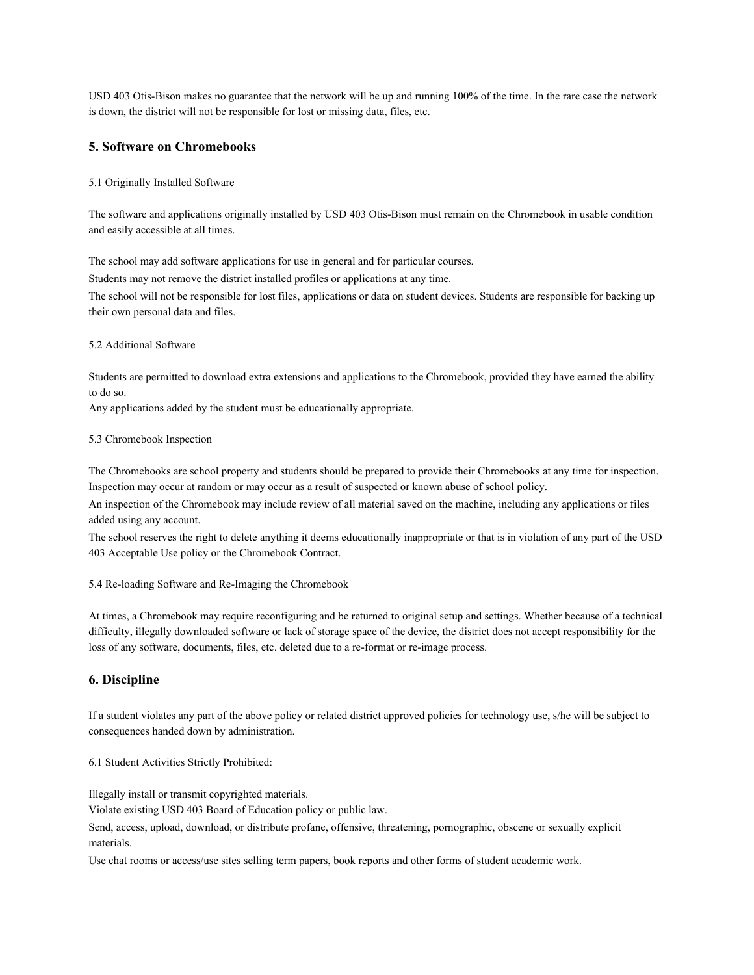USD 403 Otis-Bison makes no guarantee that the network will be up and running 100% of the time. In the rare case the network is down, the district will not be responsible for lost or missing data, files, etc.

## **5. Software on Chromebooks**

#### 5.1 Originally Installed Software

The software and applications originally installed by USD 403 Otis-Bison must remain on the Chromebook in usable condition and easily accessible at all times.

The school may add software applications for use in general and for particular courses.

Students may not remove the district installed profiles or applications at any time.

The school will not be responsible for lost files, applications or data on student devices. Students are responsible for backing up their own personal data and files.

### 5.2 Additional Software

Students are permitted to download extra extensions and applications to the Chromebook, provided they have earned the ability to do so.

Any applications added by the student must be educationally appropriate.

#### 5.3 Chromebook Inspection

The Chromebooks are school property and students should be prepared to provide their Chromebooks at any time for inspection. Inspection may occur at random or may occur as a result of suspected or known abuse of school policy.

An inspection of the Chromebook may include review of all material saved on the machine, including any applications or files added using any account.

The school reserves the right to delete anything it deems educationally inappropriate or that is in violation of any part of the USD 403 Acceptable Use policy or the Chromebook Contract.

5.4 Re-loading Software and Re-Imaging the Chromebook

At times, a Chromebook may require reconfiguring and be returned to original setup and settings. Whether because of a technical difficulty, illegally downloaded software or lack of storage space of the device, the district does not accept responsibility for the loss of any software, documents, files, etc. deleted due to a re-format or re-image process.

# **6. Discipline**

If a student violates any part of the above policy or related district approved policies for technology use, s/he will be subject to consequences handed down by administration.

#### 6.1 Student Activities Strictly Prohibited:

Illegally install or transmit copyrighted materials.

Violate existing USD 403 Board of Education policy or public law.

Send, access, upload, download, or distribute profane, offensive, threatening, pornographic, obscene or sexually explicit materials.

Use chat rooms or access/use sites selling term papers, book reports and other forms of student academic work.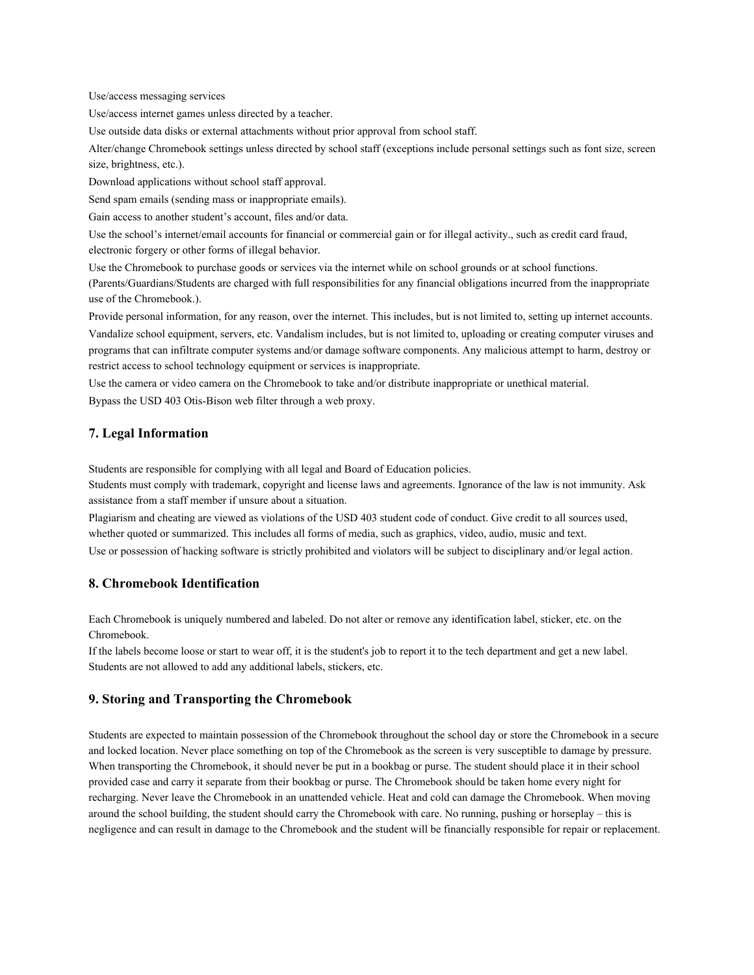Use/access messaging services

Use/access internet games unless directed by a teacher.

Use outside data disks or external attachments without prior approval from school staff.

Alter/change Chromebook settings unless directed by school staff (exceptions include personal settings such as font size, screen size, brightness, etc.).

Download applications without school staff approval.

Send spam emails (sending mass or inappropriate emails).

Gain access to another student's account, files and/or data.

Use the school's internet/email accounts for financial or commercial gain or for illegal activity., such as credit card fraud, electronic forgery or other forms of illegal behavior.

Use the Chromebook to purchase goods or services via the internet while on school grounds or at school functions.

(Parents/Guardians/Students are charged with full responsibilities for any financial obligations incurred from the inappropriate use of the Chromebook.).

Provide personal information, for any reason, over the internet. This includes, but is not limited to, setting up internet accounts. Vandalize school equipment, servers, etc. Vandalism includes, but is not limited to, uploading or creating computer viruses and programs that can infiltrate computer systems and/or damage software components. Any malicious attempt to harm, destroy or restrict access to school technology equipment or services is inappropriate.

Use the camera or video camera on the Chromebook to take and/or distribute inappropriate or unethical material. Bypass the USD 403 Otis-Bison web filter through a web proxy.

# **7. Legal Information**

Students are responsible for complying with all legal and Board of Education policies.

Students must comply with trademark, copyright and license laws and agreements. Ignorance of the law is not immunity. Ask assistance from a staff member if unsure about a situation.

Plagiarism and cheating are viewed as violations of the USD 403 student code of conduct. Give credit to all sources used, whether quoted or summarized. This includes all forms of media, such as graphics, video, audio, music and text. Use or possession of hacking software is strictly prohibited and violators will be subject to disciplinary and/or legal action.

# **8. Chromebook Identification**

Each Chromebook is uniquely numbered and labeled. Do not alter or remove any identification label, sticker, etc. on the Chromebook.

If the labels become loose or start to wear off, it is the student's job to report it to the tech department and get a new label. Students are not allowed to add any additional labels, stickers, etc.

# **9. Storing and Transporting the Chromebook**

Students are expected to maintain possession of the Chromebook throughout the school day or store the Chromebook in a secure and locked location. Never place something on top of the Chromebook as the screen is very susceptible to damage by pressure. When transporting the Chromebook, it should never be put in a bookbag or purse. The student should place it in their school provided case and carry it separate from their bookbag or purse. The Chromebook should be taken home every night for recharging. Never leave the Chromebook in an unattended vehicle. Heat and cold can damage the Chromebook. When moving around the school building, the student should carry the Chromebook with care. No running, pushing or horseplay – this is negligence and can result in damage to the Chromebook and the student will be financially responsible for repair or replacement.